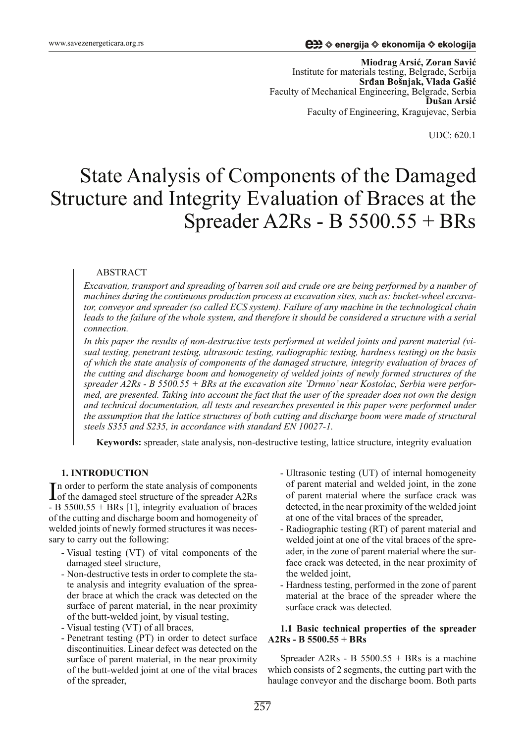**Mio drag Arsiü, Zoran Saviü** Institute for materials testing, Belgrade, Serbija  $S$ **rdan Bošnjak, Vlada Gašić** Faculty of Mechanical Engineering, Belgrade, Serbia **Dušan Arsiü** Faculty of Engineering, Kragujevac, Serbia

UDC: 620.1

# State Analysis of Components of the Damaged Structure and Integrity Evaluation of Braces at the Spreader A2Rs - B  $5500.55 + BRs$

#### ABSTRACT

*Excavation, transport and spreading of barren soil and crude ore are being performed by a number of machines during the continuous production process at excavation sites, such as: bucket-wheel excavator, conveyor and spreader (so called ECS system). Failure of any machine in the technological chain leads to the failure of the whole system, and therefore it should be considered a structure with a serial con nec tion.*

In this paper the results of non-destructive tests performed at welded joints and parent material (vi*sual testing, pene trant testing, ultra so nic testing, radi o grap hic testing, hard ness testing) on the basis*  of which the state analysis of components of the damaged structure, integrity evaluation of braces of *the cutting and discharge boom and homogeneity of welded joints of newly formed structures of the* spreader A2Rs - B 5500.55 + BRs at the excavation site 'Drmno' near Kostolac, Serbia were perfor*med, are presented. Taking into account the fact that the user of the spreader does not own the design and technical documentation, all tests and researches presented in this paper were performed under the assumption that the lattice structures of both cutting and discharge boom were made of structural steels S355 and S235, in accordance with standard EN 10027-1.* 

**Keywords:** spreader, state analysis, non-destructive testing, lattice structure, integrity evaluation

## **1. INTRODUCTION**

In order to perform the state analysis of components<br>of the damaged steel structure of the spreader A2Rs In order to perform the state analysis of components - B  $5500.55 + BRs$  [1], integrity evaluation of braces of the cutting and discharge boom and homogeneity of welded joints of newly formed structures it was necessary to carry out the following:

- Visual testing (VT) of vital components of the damaged steel structure,
- Non-destructive tests in order to complete the state analysis and integrity evaluation of the spreader brace at which the crack was detected on the surface of parent material, in the near proximity of the butt-wel ded joint, by visual testing,
- Visual testing (VT) of all braces,
- Penetrant testing (PT) in order to detect surface discontinuities. Linear defect was detected on the surface of parent material, in the near proximity of the butt-welded joint at one of the vital braces of the spreader,
- Ultrasonic testing (UT) of internal homogeneity of parent material and welded joint, in the zone of parent material where the surface crack was detected, in the near proximity of the welded joint at one of the vital braces of the spreader,
- Radiographic testing (RT) of parent material and welded joint at one of the vital braces of the spreader, in the zone of parent material where the surface crack was detected, in the near proximity of the welded joint,
- Hardness testing, performed in the zone of parent material at the brace of the spreader where the surface crack was detected.

#### **1.1 Basic technical properties of the spreader A2Rs - B 5500.55 + BRs**

Spreader A2Rs - B  $5500.55 + BRs$  is a machine which consists of  $2$  segments, the cutting part with the hau lage conveyor and the discharge boom. Both parts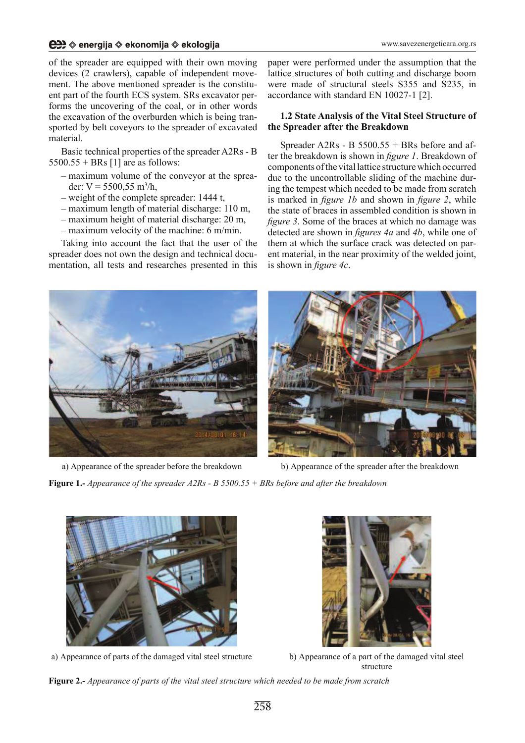## **e#** ⊗energija ⊗ekonomija ⊗ekologija

of the spreader are equipped with their own moving devices (2 crawlers), capable of independent movement. The above mentioned spreader is the constituent part of the fourth ECS system. SRs excavator performs the uncovering of the coal, or in other words the excavation of the overburden which is being transported by belt coveyors to the spreader of excavated material.

Basic technical properties of the spreader A2Rs - B  $5500.55 + BRs$  [1] are as follows:

- maximum volume of the conveyor at the spreader:  $V = 5500, 55$  m<sup>3</sup>/h,
- weight of the complete spreader:  $1444$  t,
- $-$  maximum length of material discharge: 110 m.
- $-$  maximum height of material discharge: 20 m,
- $-$  maximum velocity of the machine: 6 m/min.

Taking into account the fact that the user of the spreader does not own the design and technical documentation, all tests and researches presented in this paper were performed under the assumption that the lattice structures of both cutting and discharge boom were made of structural steels S355 and S235, in accordance with standard EN 10027-1  $[2]$ .

# **1.2 State Analysis of the Vital Steel Structure of the Spreader after the Breakdown**

Spreader A2Rs - B  $5500.55 + BRs$  before and after the breakdown is shown in *figure 1*. Breakdown of components of the vital lattice structure which occurred due to the uncontrollable sliding of the machine during the tempest which needed to be made from scratch is marked in *figure 1b* and shown in *figure 2*, while the state of braces in assembled condition is shown in *figure 3.* Some of the braces at which no damage was detected are shown in *figures 4a* and 4b, while one of them at which the surface crack was detected on parent material, in the near proximity of the welded joint, is shown in *figure 4c*.



a) Appearance of the spreader before the breakdown



b) Appearance of the spreader after the breakdown

**Figure 1.-** Appearance of the spreader A2Rs - B 5500.55 + BRs before and after the breakdown



a) Appearance of parts of the damaged vital steel structure



b) Appearance of a part of the damaged vital steel structure

**Figure 2.-** Appearance of parts of the vital steel structure which needed to be made from scratch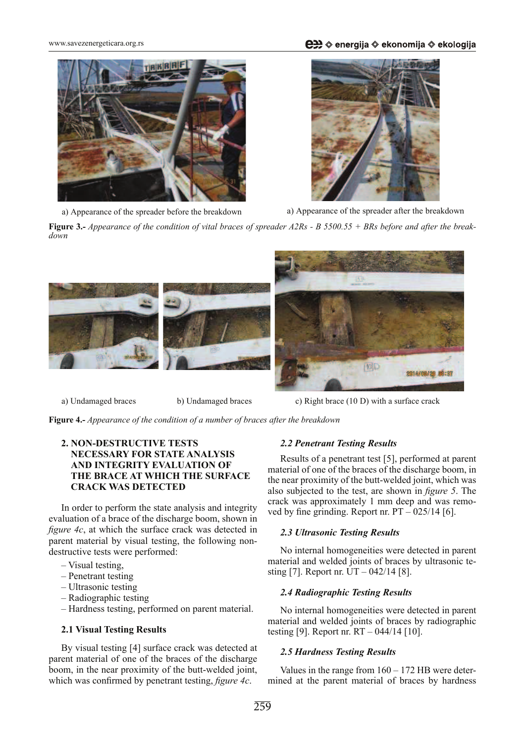**eeta** ⊗energija ⊗ekonomija ⊗ekologija

www.savezenergeticara.org.rs



a) Appearance of the spreader before the breakdown



a) Appearance of the spreader after the breakdown

**Figure 3.-** Appearance of the condition of vital braces of spreader A2Rs - B 5500.55 + BRs before and after the break*down*



a) Undamaged braces b) Undamaged braces c) Right brace (10 D) with a surface crack

**Figure 4.-** Appearance of the condition of a number of braces after the breakdown

## **2. NON-DESTRUCTIVE TESTS NECESSARY FOR STATE ANALYSIS AND INTEGRITY EVALUATION OF THE BRACE AT WHICH THE SURFACE CRACK WAS DETECTED**

In order to perform the state analysis and integrity evaluation of a brace of the discharge boom, shown in *figure 4c*, at which the surface crack was detected in parent material by visual testing, the following nondestructive tests were performed:

- Visual testing,
- $-$  Penetrant testing
- $-$  Ultrasonic testing
- $-$  Radiographic testing
- Hardness testing, performed on parent material.

## **2.1 Visual Testing Results**

By visual testing [4] surface crack was detected at parent material of one of the braces of the discharge boom, in the near proximity of the butt-welded joint, which was confirmed by penetrant testing, *figure 4c*.

## 2.2 Penetrant Testing Results

Results of a penetrant test [5], performed at parent material of one of the braces of the discharge boom, in the near proximity of the butt-welded joint, which was also subjected to the test, are shown in *figure 5*. The crack was approximately 1 mm deep and was removed by fine grinding. Report nr.  $PT - 025/14$  [6].

## **2.3 Ultrasonic Testing Results**

No internal homogeneities were detected in parent material and welded joints of braces by ultrasonic testing [7]. Report nr. UT – 042/14 [8].

## **2.4 Radiographic Testing Results**

No internal homogeneities were detected in parent material and welded joints of braces by radiographic testing [9]. Report nr. RT – 044/14 [10].

## 2.5 Hardness Testing Results

Values in the range from  $160 - 172$  HB were determined at the parent material of braces by hardness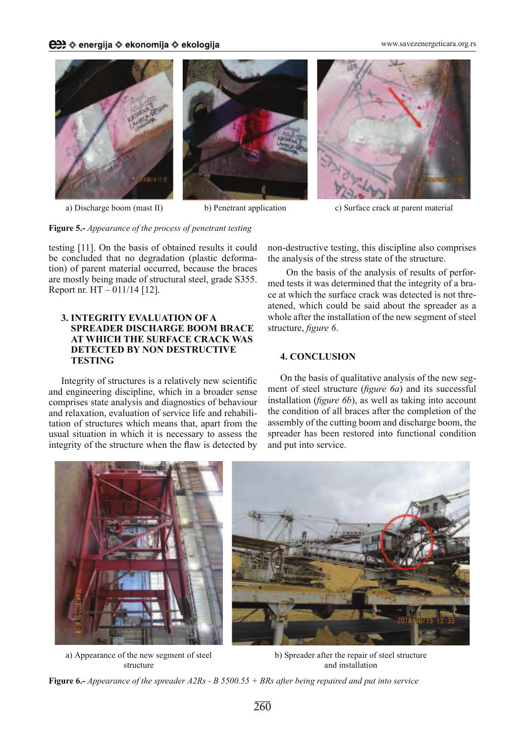www.savezenergeticara.org.rs





a) Discharge boom (mast II) b) Penetrant application c) Surface crack at parent material

## Figure 5.- *Appearance of the process of penetrant testing*

testing [11]. On the basis of obtained results it could be concluded that no degradation (plastic deformation) of parent material occurred, because the braces are mostly being made of structural steel, grade S355. Report nr. HT – 011/14 [12].

## **3. INTEGRITY EVALUATION OF A SPREADER DISCHARGE BOOM BRACE AT WHICH THE SURFACE CRACK WAS DETECTED BY NON DESTRUCTIVE TESTING**

Integrity of structures is a relatively new scientific and engineering discipline, which in a broader sense comprises state analysis and diagnostics of behaviour and relaxation, evaluation of service life and rehabilitation of structures which means that, apart from the usual situation in which it is necessary to assess the integrity of the structure when the flaw is detected by non-destructive testing, this discipline also comprises the analysis of the stress state of the structure.

On the basis of the analysis of results of performed tests it was determined that the integrity of a brace at which the surface crack was detected is not threatened, which could be said about the spreader as a whole after the installation of the new segment of steel structure, *figure 6*.

## **4. CONCLUSION**

On the basis of qualitative analysis of the new segment of steel structure (*figure 6a*) and its successful installation (*figure 6b*), as well as taking into account the condition of all braces after the completion of the assembly of the cutting boom and discharge boom, the spreader has been restored into functional condition and put into service.



a) Appearance of the new segment of steel structure

b) Spreader after the repair of steel structure and installation

Figure 6.- *Appearance of the spreader A2Rs - B 5500.55 + BRs after being repaired and put into service*